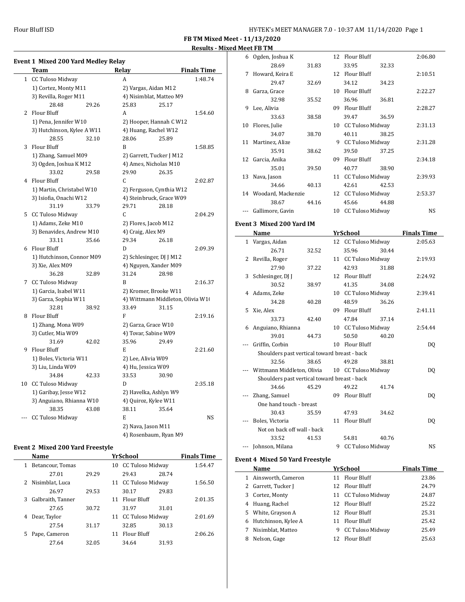Flour Bluff ISD

| HY-TEK's MEET MANAGER 7.0 - 10:37 AM 11/14/2020 Page 1 |  |  |  |
|--------------------------------------------------------|--|--|--|
|--------------------------------------------------------|--|--|--|

**FB TM Mixed Meet - 11/13/2020 Results - Mixed Meet FB TM**

|              | Team                       |       | Relay              |                                   | <b>Finals Time</b> |  |
|--------------|----------------------------|-------|--------------------|-----------------------------------|--------------------|--|
| $\mathbf{1}$ | <b>CC Tuloso Midway</b>    |       | A                  |                                   | 1:48.74            |  |
|              | 1) Cortez, Monty M11       |       |                    | 2) Vargas, Aidan M12              |                    |  |
|              | 3) Revilla, Roger M11      |       |                    | 4) Nisimblat, Matteo M9           |                    |  |
|              | 28.48                      | 29.26 | 25.83              | 25.17                             |                    |  |
|              | 2 Flour Bluff              |       | A                  |                                   | 1:54.60            |  |
|              | 1) Pena, Jennifer W10      |       |                    | 2) Hooper, Hannah C W12           |                    |  |
|              | 3) Hutchinson, Kylee A W11 |       |                    | 4) Huang, Rachel W12              |                    |  |
|              | 28.55                      | 32.10 | 28.06              | 25.89                             |                    |  |
| 3            | <b>Flour Bluff</b>         |       | B                  |                                   | 1:58.85            |  |
|              | 1) Zhang, Samuel M09       |       |                    | 2) Garrett, Tucker J M12          |                    |  |
|              | 3) Ogden, Joshua K M12     |       |                    | 4) Ames, Nicholas M10             |                    |  |
|              | 33.02                      | 29.58 | 29.90              | 26.35                             |                    |  |
|              | 4 Flour Bluff              |       | C                  |                                   | 2:02.87            |  |
|              | 1) Martin, Christabel W10  |       |                    | 2) Ferguson, Cynthia W12          |                    |  |
|              | 3) Isiofia, Onachi W12     |       |                    | 4) Steinbruck, Grace W09          |                    |  |
|              | 31.19                      | 33.79 | 29.71              | 28.18                             |                    |  |
| 5.           | CC Tuloso Midway           |       | C.                 |                                   | 2:04.29            |  |
|              | 1) Adams, Zeke M10         |       |                    | 2) Flores, Jacob M12              |                    |  |
|              | 3) Benavides, Andrew M10   |       | 4) Craig, Alex M9  |                                   |                    |  |
|              | 33.11                      | 35.66 | 29.34              | 26.18                             |                    |  |
|              | 6 Flour Bluff              |       | D                  |                                   | 2:09.39            |  |
|              | 1) Hutchinson, Connor M09  |       |                    | 2) Schlesinger, DJ J M12          |                    |  |
|              | 3) Xie, Alex M09           |       |                    | 4) Nguyen, Xander M09             |                    |  |
|              | 36.28                      | 32.89 | 31.24              | 28.98                             |                    |  |
|              | 7 CC Tuloso Midway         |       | B                  |                                   | 2:16.37            |  |
|              | 1) Garcia, Isabel W11      |       |                    | 2) Kromer, Brooke W11             |                    |  |
|              | 3) Garza, Sophia W11       |       |                    | 4) Wittmann Middleton, Olivia W10 |                    |  |
|              | 32.81                      | 38.92 | 33.49              | 31.15                             |                    |  |
|              | 8 Flour Bluff              |       | F                  |                                   | 2:19.16            |  |
|              | 1) Zhang, Mona W09         |       |                    | 2) Garza, Grace W10               |                    |  |
|              | 3) Cutler, Mia W09         |       |                    | 4) Tovar, Sabine W09              |                    |  |
|              | 31.69                      | 42.02 | 35.96              | 29.49                             |                    |  |
| 9            | Flour Bluff                |       | E                  |                                   | 2:21.60            |  |
|              | 1) Boles, Victoria W11     |       | 2) Lee, Alivia W09 |                                   |                    |  |
|              | 3) Liu, Linda W09          |       | 4) Hu, Jessica W09 |                                   |                    |  |
|              | 34.84                      | 42.33 | 33.53              | 30.90                             |                    |  |
|              | 10 CC Tuloso Midway        |       | D                  |                                   | 2:35.18            |  |
|              | 1) Garibay, Jesse W12      |       |                    | 2) Havelka, Ashlyn W9             |                    |  |
|              | 3) Anguiano, Rhianna W10   |       |                    | 4) Quiroz, Kylee W11              |                    |  |
|              | 38.35                      | 43.08 | 38.11              | 35.64                             |                    |  |
|              | <b>CC Tuloso Midway</b>    |       | E                  |                                   | NS                 |  |
|              |                            |       | 2) Nava, Jason M11 |                                   |                    |  |
|              |                            |       |                    | 4) Rosenbaum, Ryan M9             |                    |  |

## **Event 2 Mixed 200 Yard Freestyle**

|   | Name              |       |    | <b>YrSchool</b>     |       | <b>Finals Time</b> |
|---|-------------------|-------|----|---------------------|-------|--------------------|
| 1 | Betancour, Tomas  |       |    | 10 CC Tuloso Midway |       | 1:54.47            |
|   | 27.01             | 29.29 |    | 29.43               | 28.74 |                    |
|   | 2 Nisimblat, Luca |       |    | 11 CC Tuloso Midway |       | 1:56.50            |
|   | 26.97             | 29.53 |    | 30.17               | 29.83 |                    |
| 3 | Galbraith, Tanner |       | 11 | Flour Bluff         |       | 2:01.35            |
|   | 27.65             | 30.72 |    | 31.97               | 31.01 |                    |
| 4 | Dear, Taylor      |       |    | 11 CC Tuloso Midway |       | 2:01.69            |
|   | 27.54             | 31.17 |    | 32.85               | 30.13 |                    |
| 5 | Pape, Cameron     |       | 11 | <b>Flour Bluff</b>  |       | 2:06.26            |
|   | 27.64             | 32.05 |    | 34.64               | 31.93 |                    |

|          | 6 Ogden, Joshua K                            |       | 12 | Flour Bluff                           | 2:06.80            |
|----------|----------------------------------------------|-------|----|---------------------------------------|--------------------|
|          | 28.69                                        | 31.83 |    | 33.95<br>32.33                        |                    |
| 7        | Howard, Keira E                              |       |    | 12 Flour Bluff                        | 2:10.51            |
|          | 29.47                                        | 32.69 |    | 34.12<br>34.23                        |                    |
| 8        | Garza, Grace                                 |       |    | 10 Flour Bluff                        | 2:22.27            |
|          | 32.98                                        | 35.52 |    | 36.96<br>36.81                        |                    |
| 9        | Lee, Alivia                                  |       |    | 09 Flour Bluff                        | 2:28.27            |
|          | 33.63                                        | 38.58 |    | 39.47<br>36.59                        |                    |
|          | 10 Flores, Julie                             |       |    | 10 CC Tuloso Midway                   | 2:31.13            |
|          | 34.07                                        | 38.70 |    | 40.11<br>38.25                        |                    |
|          | 11 Martinez, Alize                           |       |    | 9 CC Tuloso Midway                    | 2:31.28            |
|          | 35.91                                        | 38.62 |    | 39.50<br>37.25                        |                    |
|          | 12 Garcia, Anika                             |       |    | 09 Flour Bluff                        | 2:34.18            |
|          | 35.01                                        | 39.50 |    | 40.77<br>38.90                        |                    |
|          | 13 Nava, Jason                               |       |    | 11 CC Tuloso Midway                   | 2:39.93            |
|          | 34.66                                        | 40.13 |    | 42.61<br>42.53                        |                    |
|          | 14 Woodard, Mackenzie                        |       |    | 12 CC Tuloso Midway                   | 2:53.37            |
|          | 38.67                                        | 44.16 |    | 45.66<br>44.88                        |                    |
|          | Gallimore, Gavin                             |       |    | 10 CC Tuloso Midway                   | NS                 |
|          | <b>Event 3 Mixed 200 Yard IM</b>             |       |    |                                       |                    |
|          |                                              |       |    |                                       |                    |
|          | Name                                         |       |    | <b>YrSchool</b>                       | <b>Finals Time</b> |
|          | 1 Vargas, Aidan                              |       |    | 12 CC Tuloso Midway                   | 2:05.63            |
|          | 26.71                                        | 32.52 |    | 35.96<br>30.44                        |                    |
|          | 2 Revilla, Roger                             |       |    | 11 CC Tuloso Midway                   | 2:19.93            |
|          | 27.90                                        | 37.22 |    | 42.93<br>31.88<br>12 Flour Bluff      |                    |
|          | 3 Schlesinger, DJ J                          |       |    |                                       | 2:24.92            |
|          | 30.52                                        | 38.97 |    | 41.35<br>34.08<br>10 CC Tuloso Midway | 2:39.41            |
|          | 4 Adams, Zeke                                |       |    |                                       |                    |
|          | 34.28                                        | 40.28 |    | 48.59<br>36.26<br>09 Flour Bluff      | 2:41.11            |
|          | 5 Xie, Alex                                  |       |    |                                       |                    |
|          | 33.73                                        | 42.40 |    | 47.84<br>37.14                        |                    |
|          |                                              |       |    |                                       |                    |
|          | 6 Anguiano, Rhianna                          |       |    | 10 CC Tuloso Midway                   | 2:54.44            |
|          | 39.01                                        | 44.73 |    | 50.50<br>40.20                        |                    |
| $\cdots$ | Griffin, Corbin                              |       |    | 10 Flour Bluff                        | DQ                 |
|          | Shoulders past vertical toward breast - back |       |    |                                       |                    |
|          | 32.56                                        | 38.65 |    | 49.28<br>38.81                        |                    |
|          | Wittmann Middleton, Olivia                   |       |    | 10 CC Tuloso Midway                   | DQ                 |
|          | Shoulders past vertical toward breast - back |       |    |                                       |                    |
|          | 34.66                                        | 45.29 |    | 49.22<br>41.74                        |                    |
|          | Zhang, Samuel                                |       |    | 09 Flour Bluff                        | DQ                 |
|          | One hand touch - breast                      |       |    |                                       |                    |
|          | 30.43                                        | 35.59 |    | 47.93<br>34.62                        |                    |
| ---      | Boles, Victoria                              |       | 11 | <b>Flour Bluff</b>                    | DQ                 |
|          | Not on back off wall - back                  |       |    |                                       |                    |
|          | 33.52                                        | 41.53 |    | 54.81<br>40.76                        |                    |
|          | Johnson, Milana                              |       |    | 9 CC Tuloso Midway                    | NS                 |
|          | <b>Event 4 Mixed 50 Yard Freestyle</b>       |       |    |                                       |                    |
|          | Name                                         |       |    | <u>YrSchool</u>                       | <b>Finals Time</b> |
|          | 1 Ainsworth, Cameron<br>2 Garrett, Tucker J  |       | 12 | 11 Flour Bluff<br>Flour Bluff         | 23.86<br>24.79     |

|    | Ainsworth, Cameron  |    | 11 Flour Bluff      | 23.86 |
|----|---------------------|----|---------------------|-------|
|    | 2 Garrett, Tucker J |    | 12 Flour Bluff      | 24.79 |
|    | 3 Cortez, Monty     |    | 11 CC Tuloso Midway | 24.87 |
|    | 4 Huang, Rachel     |    | 12 Flour Bluff      | 25.22 |
|    | 5 White, Grayson A  |    | 12 Flour Bluff      | 25.31 |
| 6. | Hutchinson, Kylee A |    | 11 Flour Bluff      | 25.42 |
| 7  | Nisimblat, Matteo   | 9. | CC Tuloso Midway    | 25.49 |
| 8  | Nelson, Gage        |    | 12 Flour Bluff      | 25.63 |
|    |                     |    |                     |       |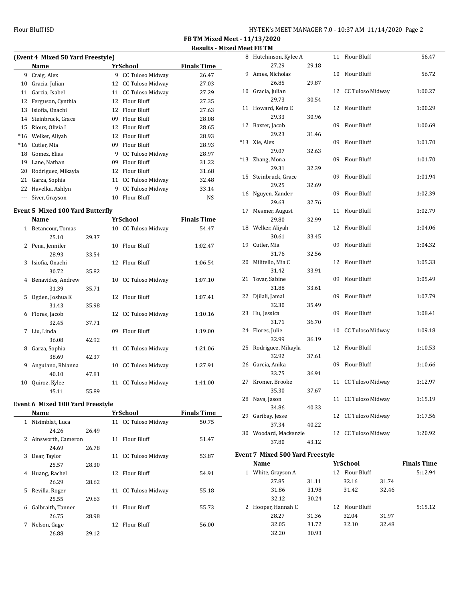$\overline{\phantom{0}}$ 

**FB TM Mixed Meet - 11/13/2020**

|                                   |                    |          |                         | <b>Results - Mixed Meet FB TM</b> |       |                         |
|-----------------------------------|--------------------|----------|-------------------------|-----------------------------------|-------|-------------------------|
| (Event 4 Mixed 50 Yard Freestyle) | 8                  | Hutchins |                         |                                   |       |                         |
|                                   | Name               |          | YrSchool                | <b>Finals Time</b>                |       | $2^{\circ}$             |
| 9                                 | Craig, Alex        | 9        | CC Tuloso Midway        | 26.47                             | 9     | Ames, Ni                |
| 10                                | Gracia, Julian     | 12       | CC Tuloso Midway        | 27.03                             |       | $\overline{2}$          |
| 11                                | Garcia, Isabel     | 11       | <b>CC Tuloso Midway</b> | 27.29                             | 10    | Gracia, Ju              |
| 12                                | Ferguson, Cynthia  | 12       | Flour Bluff             | 27.35                             |       | $2^{\prime}$            |
| 13                                | Isiofia, Onachi    | 12       | Flour Bluff             | 27.63                             | 11    | Howard,                 |
| 14                                | Steinbruck, Grace  | 09       | Flour Bluff             | 28.08                             |       | $2^{\prime}$            |
| 15                                | Rioux, Olivia I    | 12       | Flour Bluff             | 28.65                             | 12    | Baxter, Ja              |
| $*16$                             | Welker, Aliyah     | 12       | Flour Bluff             | 28.93                             |       | $2^{\prime}$            |
| $*16$                             | Cutler, Mia        | 09       | Flour Bluff             | 28.93                             | $*13$ | Xie, Alex               |
| 18                                | Gomez, Elias       | 9        | CC Tuloso Midway        | 28.97                             |       | $2^{\prime}$            |
| 19                                | Lane, Nathan       | 09       | Flour Bluff             | 31.22                             | $*13$ | Zhang, M                |
| 20                                | Rodriguez, Mikayla | 12       | Flour Bluff             | 31.68                             |       | 2 <sup>1</sup>          |
| 21                                | Garza, Sophia      | 11       | <b>CC Tuloso Midway</b> | 32.48                             | 15    | Steinbru                |
| 22                                | Havelka, Ashlyn    | 9        | <b>CC Tuloso Midway</b> | 33.14                             |       | 2 <sup>1</sup>          |
|                                   | Siver, Grayson     | 10       | Flour Bluff             | NS                                | 16    | Nguyen,<br>$\mathbf{a}$ |

# **Event 5 Mixed 100 Yard Butterfly**

|              | Name              |       |    | YrSchool                | <b>Finals Time</b> |
|--------------|-------------------|-------|----|-------------------------|--------------------|
| $\mathbf{1}$ | Betancour, Tomas  |       |    | 10 CC Tuloso Midway     | 54.47              |
|              | 25.10             | 29.37 |    |                         |                    |
| 2            | Pena, Jennifer    |       | 10 | <b>Flour Bluff</b>      | 1:02.47            |
|              | 28.93             | 33.54 |    |                         |                    |
| 3            | Isiofia, Onachi   |       | 12 | Flour Bluff             | 1:06.54            |
|              | 30.72             | 35.82 |    |                         |                    |
| 4            | Benavides, Andrew |       | 10 | CC Tuloso Midway        | 1:07.10            |
|              | 31.39             | 35.71 |    |                         |                    |
| 5            | Ogden, Joshua K   |       |    | 12 Flour Bluff          | 1:07.41            |
|              | 31.43             | 35.98 |    |                         |                    |
| 6            | Flores, Jacob     |       |    | 12 CC Tuloso Midway     | 1:10.16            |
|              | 32.45             | 37.71 |    |                         |                    |
| 7            | Liu, Linda        |       | 09 | <b>Flour Bluff</b>      | 1:19.00            |
|              | 36.08             | 42.92 |    |                         |                    |
| 8            | Garza, Sophia     |       | 11 | CC Tuloso Midway        | 1:21.06            |
|              | 38.69             | 42.37 |    |                         |                    |
| 9            | Anguiano, Rhianna |       | 10 | CC Tuloso Midway        | 1:27.91            |
|              | 40.10             | 47.81 |    |                         |                    |
| 10           | Quiroz, Kylee     |       | 11 | <b>CC Tuloso Midway</b> | 1:41.00            |
|              | 45.11             | 55.89 |    |                         |                    |

## **Event 6 Mixed 100 Yard Freestyle**

|    | Name               |       |     | <b>YrSchool</b>     | <b>Finals Time</b> |
|----|--------------------|-------|-----|---------------------|--------------------|
| 1  | Nisimblat, Luca    |       |     | 11 CC Tuloso Midway | 50.75              |
|    | 24.26              | 26.49 |     |                     |                    |
| 2  | Ainsworth, Cameron |       | 11  | Flour Bluff         | 51.47              |
|    | 24.69              | 26.78 |     |                     |                    |
| 3  | Dear, Taylor       |       |     | 11 CC Tuloso Midway | 53.87              |
|    | 25.57              | 28.30 |     |                     |                    |
| 4  | Huang, Rachel      |       | 12. | <b>Flour Bluff</b>  | 54.91              |
|    | 26.29              | 28.62 |     |                     |                    |
| 5. | Revilla, Roger     |       |     | 11 CC Tuloso Midway | 55.18              |
|    | 25.55              | 29.63 |     |                     |                    |
| 6  | Galbraith, Tanner  |       | 11  | Flour Bluff         | 55.73              |
|    | 26.75              | 28.98 |     |                     |                    |
| 7  | Nelson, Gage       |       | 12  | <b>Flour Bluff</b>  | 56.00              |
|    | 26.88              | 29.12 |     |                     |                    |

| 8     | Hutchinson, Kylee A |       | 11 | Flour Bluff             | 56.47   |
|-------|---------------------|-------|----|-------------------------|---------|
|       | 27.29               | 29.18 |    |                         |         |
| 9     | Ames, Nicholas      |       | 10 | Flour Bluff             | 56.72   |
|       | 26.85               | 29.87 |    |                         |         |
| 10    | Gracia, Julian      |       |    | 12 CC Tuloso Midway     | 1:00.27 |
|       | 29.73               | 30.54 |    |                         |         |
| 11    | Howard, Keira E     |       | 12 | Flour Bluff             | 1:00.29 |
|       | 29.33               | 30.96 |    |                         |         |
| 12    | Baxter, Jacob       |       | 09 | Flour Bluff             | 1:00.69 |
|       | 29.23               | 31.46 |    |                         |         |
| $*13$ | Xie, Alex           |       | 09 | Flour Bluff             | 1:01.70 |
|       | 29.07               | 32.63 |    |                         |         |
| $*13$ | Zhang, Mona         |       | 09 | <b>Flour Bluff</b>      | 1:01.70 |
|       | 29.31               | 32.39 |    |                         |         |
| 15    | Steinbruck, Grace   |       | 09 | <b>Flour Bluff</b>      | 1:01.94 |
|       | 29.25               | 32.69 |    |                         |         |
| 16    | Nguyen, Xander      |       | 09 | <b>Flour Bluff</b>      | 1:02.39 |
|       | 29.63               | 32.76 |    |                         |         |
| 17    | Mesmer, August      |       | 11 | Flour Bluff             | 1:02.79 |
|       | 29.80               | 32.99 |    |                         |         |
| 18    | Welker, Aliyah      |       | 12 | Flour Bluff             | 1:04.06 |
|       | 30.61               | 33.45 |    |                         |         |
| 19    | Cutler, Mia         |       | 09 | Flour Bluff             | 1:04.32 |
|       | 31.76               | 32.56 |    |                         |         |
| 20    | Militello, Mia C    |       | 12 | <b>Flour Bluff</b>      | 1:05.33 |
|       | 31.42               | 33.91 |    |                         |         |
| 21    | Tovar, Sabine       |       | 09 | Flour Bluff             | 1:05.49 |
|       | 31.88               | 33.61 |    |                         |         |
| 22    | Djilali, Jamal      |       | 09 | <b>Flour Bluff</b>      | 1:07.79 |
|       | 32.30               | 35.49 |    |                         |         |
| 23    | Hu, Jessica         |       | 09 | Flour Bluff             | 1:08.41 |
|       | 31.71               | 36.70 |    |                         |         |
| 24    | Flores, Julie       |       | 10 | <b>CC Tuloso Midway</b> | 1:09.18 |
|       | 32.99               | 36.19 |    |                         |         |
| 25    | Rodriguez, Mikayla  |       | 12 | Flour Bluff             | 1:10.53 |
|       | 32.92               | 37.61 |    |                         |         |
| 26    | Garcia, Anika       |       | 09 | Flour Bluff             | 1:10.66 |
|       | 33.75               | 36.91 |    |                         |         |
| 27    | Kromer, Brooke      |       | 11 | <b>CC Tuloso Midway</b> | 1:12.97 |
|       | 35.30               | 37.67 |    |                         |         |
| 28    | Nava, Jason         |       | 11 | <b>CC Tuloso Midway</b> | 1:15.19 |
|       | 34.86               | 40.33 |    |                         |         |
| 29    | Garibay, Jesse      |       |    | 12 CC Tuloso Midway     | 1:17.56 |
|       | 37.34               | 40.22 |    |                         |         |
| 30    | Woodard, Mackenzie  |       | 12 | <b>CC Tuloso Midway</b> | 1:20.92 |
|       | 37.80               | 43.12 |    |                         |         |

## **Event 7 Mixed 500 Yard Freestyle**

| Name                  |       | <b>YrSchool</b>    |       | <b>Finals Time</b> |
|-----------------------|-------|--------------------|-------|--------------------|
| White, Grayson A<br>1 |       | Flour Bluff<br>12. |       | 5:12.94            |
| 27.85                 | 31.11 | 32.16              | 31.74 |                    |
| 31.86                 | 31.98 | 31.42              | 32.46 |                    |
| 32.12                 | 30.24 |                    |       |                    |
| 2 Hooper, Hannah C    |       | 12 Flour Bluff     |       | 5:15.12            |
| 28.27                 | 31.36 | 32.04              | 31.97 |                    |
| 32.05                 | 31.72 | 32.10              | 32.48 |                    |
| 32.20                 | 30.93 |                    |       |                    |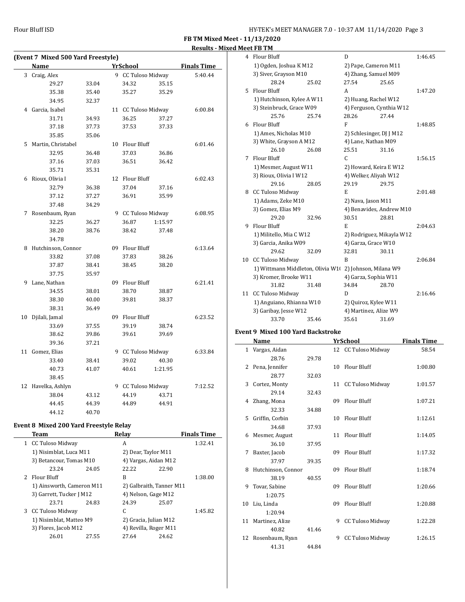**FB TM Mixed Meet - 11/13/2020 Results - Mixed Meet FB TM**

| (Event 7 Mixed 500 Yard Freestyle) |                                        |       |   |                     |                               |                    |
|------------------------------------|----------------------------------------|-------|---|---------------------|-------------------------------|--------------------|
|                                    | <b>Name</b>                            |       |   | <b>YrSchool</b>     |                               | <b>Finals Time</b> |
| 3                                  | Craig, Alex                            |       |   | 9 CC Tuloso Midway  |                               | 5:40.44            |
|                                    | 29.27                                  | 33.04 |   | 34.32               | 35.15                         |                    |
|                                    | 35.38                                  | 35.40 |   | 35.27               | 35.29                         |                    |
|                                    | 34.95                                  | 32.37 |   |                     |                               |                    |
|                                    | 4 Garcia, Isabel                       |       |   | 11 CC Tuloso Midway |                               | 6:00.84            |
|                                    | 31.71                                  | 34.93 |   | 36.25               | 37.27                         |                    |
|                                    | 37.18                                  | 37.73 |   | 37.53               | 37.33                         |                    |
|                                    | 35.85                                  | 35.06 |   |                     |                               |                    |
| 5                                  | Martin, Christabel                     |       |   | 10 Flour Bluff      |                               | 6:01.46            |
|                                    | 32.95                                  | 36.48 |   | 37.03               | 36.86                         |                    |
|                                    | 37.16                                  | 37.03 |   | 36.51               | 36.42                         |                    |
|                                    | 35.71                                  | 35.31 |   |                     |                               |                    |
| 6                                  | Rioux, Olivia I                        |       |   | 12 Flour Bluff      |                               | 6:02.43            |
|                                    | 32.79                                  | 36.38 |   | 37.04               | 37.16                         |                    |
|                                    | 37.12                                  | 37.27 |   | 36.91               | 35.99                         |                    |
|                                    | 37.48                                  | 34.29 |   |                     |                               |                    |
| 7                                  | Rosenbaum, Ryan                        |       |   | 9 CC Tuloso Midway  |                               | 6:08.95            |
|                                    | 32.25                                  | 36.27 |   | 36.87               | 1:15.97                       |                    |
|                                    | 38.20                                  | 38.76 |   | 38.42               | 37.48                         |                    |
|                                    | 34.78                                  |       |   |                     |                               |                    |
|                                    | 8 Hutchinson, Connor                   |       |   | 09 Flour Bluff      |                               | 6:13.64            |
|                                    | 33.82                                  | 37.08 |   | 37.83               | 38.26                         |                    |
|                                    | 37.87                                  | 38.41 |   | 38.45               | 38.20                         |                    |
|                                    | 37.75                                  | 35.97 |   |                     |                               |                    |
|                                    | 9 Lane, Nathan                         |       |   | 09 Flour Bluff      |                               | 6:21.41            |
|                                    | 34.55                                  | 38.01 |   | 38.70               | 38.87                         |                    |
|                                    | 38.30                                  | 40.00 |   | 39.81               | 38.37                         |                    |
|                                    | 38.31                                  | 36.49 |   |                     |                               |                    |
| 10                                 | Djilali, Jamal                         |       |   | 09 Flour Bluff      |                               | 6:23.52            |
|                                    | 33.69                                  | 37.55 |   | 39.19               | 38.74                         |                    |
|                                    | 38.62                                  | 39.86 |   | 39.61               | 39.69                         |                    |
|                                    | 39.36                                  | 37.21 |   |                     |                               |                    |
| 11                                 | Gomez, Elias                           |       |   | 9 CC Tuloso Midway  |                               | 6:33.84            |
|                                    | 33.40                                  | 38.41 |   | 39.02               | 40.30                         |                    |
|                                    | 40.73                                  | 41.07 |   | 40.61               | 1:21.95                       |                    |
|                                    | 38.45                                  |       |   |                     |                               |                    |
|                                    | 12 Havelka, Ashlyn                     |       | 9 | CC Tuloso Midway    |                               | 7:12.52            |
|                                    | 38.04                                  | 43.12 |   | 44.19               | 43.71                         |                    |
|                                    | 44.45                                  | 44.39 |   | 44.89               | 44.91                         |                    |
|                                    | 44.12                                  | 40.70 |   |                     |                               |                    |
|                                    |                                        |       |   |                     |                               |                    |
|                                    | Event 8 Mixed 200 Yard Freestyle Relay |       |   |                     |                               |                    |
|                                    | <b>Team</b>                            |       |   | Relay               |                               | <b>Finals Time</b> |
| 1                                  | CC Tuloso Midway                       |       |   | A                   |                               | 1:32.41            |
|                                    | 1) Nisimblat, Luca M11                 |       |   |                     | 2) Dear, Taylor M11           |                    |
|                                    | 3) Betancour, Tomas M10<br>23.24       | 24.05 |   |                     | 4) Vargas, Aidan M12<br>22.90 |                    |
| 2                                  | Flour Bluff                            |       |   | 22.22<br>B          |                               | 1:38.00            |
|                                    | 1) Ainsworth, Cameron M11              |       |   |                     | 2) Galbraith, Tanner M11      |                    |
|                                    | 3) Garrett, Tucker J M12               |       |   |                     | 4) Nelson, Gage M12           |                    |
|                                    | 23.71                                  | 24.83 |   | 24.39               | 25.07                         |                    |

3 CC Tuloso Midway C 1:45.82

1) Nisimblat, Matteo M9 2) Gracia, Julian M12 3) Flores, Jacob M12 4) Revilla, Roger M11 26.01 27.55 27.64 24.62

|    | cctid 151                  |       |                                                        |       |         |
|----|----------------------------|-------|--------------------------------------------------------|-------|---------|
| 4  | Flour Bluff                |       | D                                                      |       | 1:46.45 |
|    | 1) Ogden, Joshua K M12     |       | 2) Pape, Cameron M11                                   |       |         |
|    | 3) Siver, Grayson M10      |       | 4) Zhang, Samuel M09                                   |       |         |
|    | 28.24                      | 25.02 | 27.54                                                  | 25.65 |         |
| 5. | Flour Bluff                |       | A                                                      |       | 1:47.20 |
|    | 1) Hutchinson, Kylee A W11 |       | 2) Huang, Rachel W12                                   |       |         |
|    | 3) Steinbruck, Grace W09   |       | 4) Ferguson, Cynthia W12                               |       |         |
|    | 25.76                      | 25.74 | 28.26                                                  | 27.44 |         |
| 6  | <b>Flour Bluff</b>         |       | F                                                      |       | 1:48.85 |
|    | 1) Ames, Nicholas M10      |       | 2) Schlesinger, DJ J M12                               |       |         |
|    | 3) White, Grayson A M12    |       | 4) Lane, Nathan M09                                    |       |         |
|    | 26.10                      | 26.08 | 25.51                                                  | 31.16 |         |
| 7  | <b>Flour Bluff</b>         |       | C.                                                     |       | 1:56.15 |
|    | 1) Mesmer, August W11      |       | 2) Howard, Keira E W12                                 |       |         |
|    | 3) Rioux, Olivia I W12     |       | 4) Welker, Aliyah W12                                  |       |         |
|    | 29.16                      | 28.05 | 29.19                                                  | 29.75 |         |
| 8  | CC Tuloso Midway           |       | E                                                      |       | 2:01.48 |
|    | 1) Adams, Zeke M10         |       | 2) Nava, Jason M11                                     |       |         |
|    | 3) Gomez, Elias M9         |       | 4) Benavides, Andrew M10                               |       |         |
|    | 29.20                      | 32.96 | 30.51                                                  | 28.81 |         |
| 9  | Flour Bluff                |       | E                                                      |       | 2:04.63 |
|    | 1) Militello, Mia C W12    |       | 2) Rodriguez, Mikayla W12                              |       |         |
|    | 3) Garcia, Anika W09       |       | 4) Garza, Grace W10                                    |       |         |
|    | 29.62                      | 32.09 | 32.81                                                  | 30.11 |         |
| 10 | <b>CC Tuloso Midway</b>    |       | B                                                      |       | 2:06.84 |
|    |                            |       | 1) Wittmann Middleton, Olivia W1(2) Johnson, Milana W9 |       |         |
|    | 3) Kromer, Brooke W11      |       | 4) Garza, Sophia W11                                   |       |         |
|    | 31.82                      | 31.48 | 34.84                                                  | 28.70 |         |
| 11 | <b>CC Tuloso Midway</b>    |       | D                                                      |       | 2:16.46 |
|    | 1) Anguiano, Rhianna W10   |       | 2) Quiroz, Kylee W11                                   |       |         |
|    | 3) Garibay, Jesse W12      |       | 4) Martinez, Alize W9                                  |       |         |
|    | 33.70                      | 35.46 | 35.61                                                  | 31.69 |         |

# **Event 9 Mixed 100 Yard Backstroke**

|    | Name               |       |    | YrSchool                | <b>Finals Time</b> |
|----|--------------------|-------|----|-------------------------|--------------------|
|    | 1 Vargas, Aidan    |       |    | 12 CC Tuloso Midway     | 58.54              |
|    | 28.76              | 29.78 |    |                         |                    |
|    | 2 Pena, Jennifer   |       | 10 | Flour Bluff             | 1:00.80            |
|    | 28.77              | 32.03 |    |                         |                    |
| 3  | Cortez, Monty      |       |    | 11 CC Tuloso Midway     | 1:01.57            |
|    | 29.14              | 32.43 |    |                         |                    |
|    | 4 Zhang, Mona      |       | 09 | Flour Bluff             | 1:07.21            |
|    | 32.33              | 34.88 |    |                         |                    |
|    | 5 Griffin, Corbin  |       | 10 | Flour Bluff             | 1:12.61            |
|    | 34.68              | 37.93 |    |                         |                    |
| 6  | Mesmer, August     |       | 11 | Flour Bluff             | 1:14.05            |
|    | 36.10              | 37.95 |    |                         |                    |
| 7  | Baxter, Jacob      |       | 09 | <b>Flour Bluff</b>      | 1:17.32            |
|    | 37.97              | 39.35 |    |                         |                    |
| 8  | Hutchinson, Connor |       | 09 | <b>Flour Bluff</b>      | 1:18.74            |
|    | 38.19              | 40.55 |    |                         |                    |
| 9  | Tovar, Sabine      |       | 09 | Flour Bluff             | 1:20.66            |
|    | 1:20.75            |       |    |                         |                    |
| 10 | Liu, Linda         |       | 09 | <b>Flour Bluff</b>      | 1:20.88            |
|    | 1:20.94            |       |    |                         |                    |
| 11 | Martinez, Alize    |       | 9  | CC Tuloso Midway        | 1:22.28            |
|    | 40.82              | 41.46 |    |                         |                    |
|    | 12 Rosenbaum, Ryan |       | 9  | <b>CC Tuloso Midway</b> | 1:26.15            |
|    | 41.31              | 44.84 |    |                         |                    |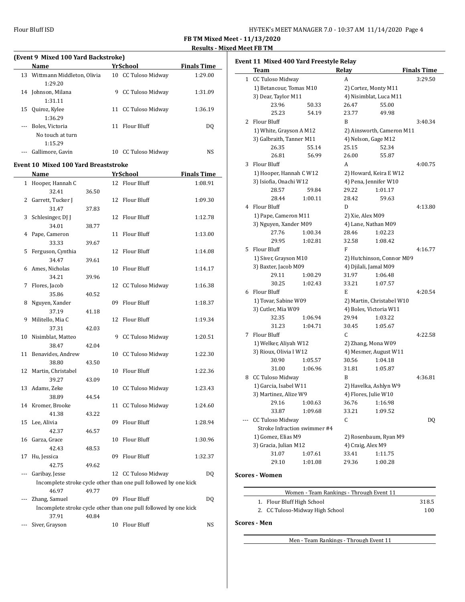**FB TM Mixed Meet - 11/13/2020 Results - Mixed Meet FB TM**

 $\overline{a}$ 

#### **(Event 9 Mixed 100 Yard Backstroke)**

|    | Name                          |   | YrSchool            | <b>Finals Time</b> |
|----|-------------------------------|---|---------------------|--------------------|
|    | 13 Wittmann Middleton, Olivia |   | 10 CC Tuloso Midway | 1:29.00            |
|    | 1:29.20                       |   |                     |                    |
|    | 14 Johnson, Milana            | 9 | CC Tuloso Midway    | 1:31.09            |
|    | 1:31.11                       |   |                     |                    |
| 15 | Quiroz, Kylee                 |   | 11 CC Tuloso Midway | 1:36.19            |
|    | 1:36.29                       |   |                     |                    |
|    | Boles. Victoria               |   | 11 Flour Bluff      | DO.                |
|    | No touch at turn              |   |                     |                    |
|    | 1:15.29                       |   |                     |                    |
|    | Gallimore, Gavin              |   | 10 CC Tuloso Midway | NS                 |

# **Event 10 Mixed 100 Yard Breaststroke**

|                | Name                  |       |    | <b>YrSchool</b>                                                  | <b>Finals Time</b> |
|----------------|-----------------------|-------|----|------------------------------------------------------------------|--------------------|
| $\mathbf{1}$   | Hooper, Hannah C      |       |    | 12 Flour Bluff                                                   | 1:08.91            |
|                | 32.41                 | 36.50 |    |                                                                  |                    |
| $\overline{2}$ | Garrett, Tucker J     |       | 12 | Flour Bluff                                                      | 1:09.30            |
|                | 31.47                 | 37.83 |    |                                                                  |                    |
| 3              | Schlesinger, DJ J     |       | 12 | Flour Bluff                                                      | 1:12.78            |
|                | 34.01                 | 38.77 |    |                                                                  |                    |
| 4              | Pape, Cameron         |       | 11 | <b>Flour Bluff</b>                                               | 1:13.00            |
|                | 33.33                 | 39.67 |    |                                                                  |                    |
| 5              | Ferguson, Cynthia     |       | 12 | Flour Bluff                                                      | 1:14.08            |
|                | 34.47                 | 39.61 |    |                                                                  |                    |
| 6              | Ames, Nicholas        |       | 10 | <b>Flour Bluff</b>                                               | 1:14.17            |
|                | 34.21                 | 39.96 |    |                                                                  |                    |
| 7              | Flores, Jacob         |       |    | 12 CC Tuloso Midway                                              | 1:16.38            |
|                | 35.86                 | 40.52 |    |                                                                  |                    |
| 8              | Nguyen, Xander        |       | 09 | <b>Flour Bluff</b>                                               | 1:18.37            |
|                | 37.19                 | 41.18 |    |                                                                  |                    |
| 9              | Militello, Mia C      |       | 12 | Flour Bluff                                                      | 1:19.34            |
|                | 37.31                 | 42.03 |    |                                                                  |                    |
| 10             | Nisimblat, Matteo     |       | 9  | CC Tuloso Midway                                                 | 1:20.51            |
|                | 38.47                 | 42.04 |    |                                                                  |                    |
| 11             | Benavides, Andrew     |       | 10 | CC Tuloso Midway                                                 | 1:22.30            |
|                | 38.80                 | 43.50 |    |                                                                  |                    |
| 12             | Martin, Christabel    |       | 10 | Flour Bluff                                                      | 1:22.36            |
|                | 39.27                 | 43.09 |    |                                                                  |                    |
| 13             | Adams, Zeke           |       | 10 | <b>CC Tuloso Midway</b>                                          | 1:23.43            |
|                | 38.89                 | 44.54 |    |                                                                  |                    |
| 14             | Kromer, Brooke        |       | 11 | <b>CC Tuloso Midway</b>                                          | 1:24.60            |
|                | 41.38                 | 43.22 |    |                                                                  |                    |
| 15             | Lee. Alivia           |       | 09 | Flour Bluff                                                      | 1:28.94            |
| 16             | 42.37                 | 46.57 | 10 | <b>Flour Bluff</b>                                               |                    |
|                | Garza, Grace<br>42.43 |       |    |                                                                  | 1:30.96            |
| 17             |                       | 48.53 | 09 | Flour Bluff                                                      | 1:32.37            |
|                | Hu, Jessica<br>42.75  | 49.62 |    |                                                                  |                    |
| ---            | Garibay, Jesse        |       |    | 12 CC Tuloso Midway                                              | DQ                 |
|                |                       |       |    | Incomplete stroke cycle other than one pull followed by one kick |                    |
|                | 46.97                 | 49.77 |    |                                                                  |                    |
|                | Zhang, Samuel         |       |    | 09 Flour Bluff                                                   | DQ                 |
|                |                       |       |    | Incomplete stroke cycle other than one pull followed by one kick |                    |
|                | 37.91                 | 40.84 |    |                                                                  |                    |
| ---            | Siver, Grayson        |       |    | 10 Flour Bluff                                                   | NS                 |

| Event 11 Mixed 400 Yard Freestyle Relay |                              |         |                   |                           |                    |  |
|-----------------------------------------|------------------------------|---------|-------------------|---------------------------|--------------------|--|
|                                         | Team                         |         | Relay             |                           | <b>Finals Time</b> |  |
|                                         | 1 CC Tuloso Midway           |         | A                 |                           | 3:29.50            |  |
|                                         | 1) Betancour, Tomas M10      |         |                   | 2) Cortez, Monty M11      |                    |  |
|                                         | 3) Dear, Taylor M11          |         |                   | 4) Nisimblat, Luca M11    |                    |  |
|                                         | 23.96                        | 50.33   | 26.47             | 55.00                     |                    |  |
|                                         | 25.23                        | 54.19   | 23.77             | 49.98                     |                    |  |
|                                         | 2 Flour Bluff                |         | B                 |                           | 3:40.34            |  |
|                                         | 1) White, Grayson A M12      |         |                   | 2) Ainsworth, Cameron M11 |                    |  |
|                                         | 3) Galbraith, Tanner M11     |         |                   | 4) Nelson, Gage M12       |                    |  |
|                                         | 26.35                        | 55.14   | 25.15             | 52.34                     |                    |  |
|                                         | 26.81                        | 56.99   | 26.00             | 55.87                     |                    |  |
| 3                                       | <b>Flour Bluff</b>           |         | A                 |                           | 4:00.75            |  |
|                                         | 1) Hooper, Hannah C W12      |         |                   | 2) Howard, Keira E W12    |                    |  |
|                                         | 3) Isiofia, Onachi W12       |         |                   | 4) Pena, Jennifer W10     |                    |  |
|                                         | 28.57                        | 59.84   | 29.22             | 1:01.17                   |                    |  |
|                                         | 28.44                        | 1:00.11 | 28.42             | 59.63                     |                    |  |
|                                         | 4 Flour Bluff                |         | D                 |                           | 4:13.80            |  |
|                                         | 1) Pape, Cameron M11         |         | 2) Xie, Alex M09  |                           |                    |  |
|                                         | 3) Nguyen, Xander M09        |         |                   | 4) Lane, Nathan M09       |                    |  |
|                                         | 27.76                        | 1:00.34 | 28.46             | 1:02.23                   |                    |  |
|                                         | 29.95                        | 1:02.81 | 32.58             | 1:08.42                   |                    |  |
| 5                                       | Flour Bluff                  |         | F                 |                           | 4:16.77            |  |
|                                         | 1) Siver, Grayson M10        |         |                   | 2) Hutchinson, Connor M09 |                    |  |
|                                         | 3) Baxter, Jacob M09         |         |                   | 4) Djilali, Jamal M09     |                    |  |
|                                         | 29.11                        | 1:00.29 | 31.97             | 1:06.48                   |                    |  |
|                                         | 30.25                        | 1:02.43 | 33.21             | 1:07.57                   |                    |  |
|                                         | 6 Flour Bluff                |         | E                 |                           | 4:20.54            |  |
|                                         | 1) Tovar, Sabine W09         |         |                   | 2) Martin, Christabel W10 |                    |  |
|                                         | 3) Cutler, Mia W09           |         |                   | 4) Boles, Victoria W11    |                    |  |
|                                         | 32.35                        | 1:06.94 | 29.94             | 1:03.22                   |                    |  |
|                                         | 31.23                        | 1:04.71 | 30.45             | 1:05.67                   |                    |  |
|                                         | 7 Flour Bluff                |         | C.                |                           | 4:22.58            |  |
|                                         | 1) Welker, Aliyah W12        |         |                   | 2) Zhang, Mona W09        |                    |  |
|                                         | 3) Rioux, Olivia I W12       |         |                   | 4) Mesmer, August W11     |                    |  |
|                                         | 30.90                        | 1:05.57 | 30.56             | 1:04.18                   |                    |  |
|                                         | 31.00                        | 1:06.96 | 31.81             | 1:05.87                   |                    |  |
| 8                                       | CC Tuloso Midway             |         | B                 |                           | 4:36.81            |  |
|                                         | 1) Garcia, Isabel W11        |         |                   | 2) Havelka, Ashlyn W9     |                    |  |
|                                         | 3) Martinez, Alize W9        |         |                   | 4) Flores, Julie W10      |                    |  |
|                                         | 29.16                        | 1:00.63 | 36.76             | 1:16.98                   |                    |  |
|                                         | 33.87                        | 1:09.68 | 33.21             | 1:09.52                   |                    |  |
|                                         | <b>CC Tuloso Midway</b>      |         | C                 |                           | DQ                 |  |
|                                         | Stroke Infraction swimmer #4 |         |                   |                           |                    |  |
|                                         | 1) Gomez, Elias M9           |         |                   | 2) Rosenbaum, Ryan M9     |                    |  |
|                                         | 3) Gracia, Julian M12        |         | 4) Craig, Alex M9 |                           |                    |  |
|                                         | 31.07                        | 1:07.61 | 33.41             | 1:11.75                   |                    |  |
|                                         | 29.10                        | 1:01.08 | 29.36             | 1:00.28                   |                    |  |

### **Scores - Women**

| Women - Team Rankings - Through Event 11 |       |
|------------------------------------------|-------|
| 1. Flour Bluff High School               | 318.5 |
| 2. CC Tuloso-Midway High School          | 100   |

### **Scores - Men**

Men - Team Rankings - Through Event 11